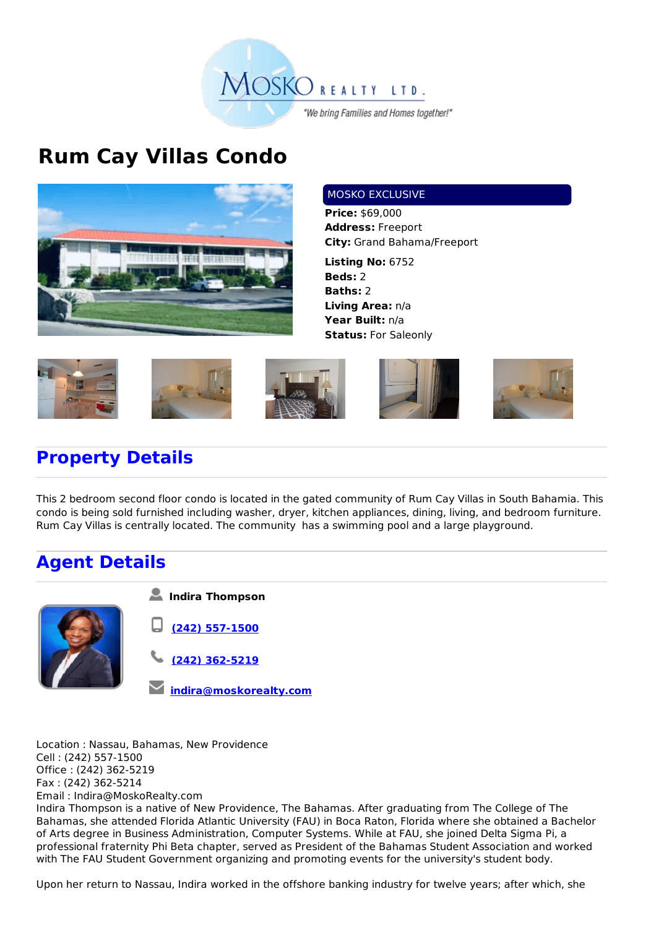

## **Rum Cay Villas Condo**



## MOSKO EXCLUSIVE

**Price:** \$69,000 **Address:** Freeport **City:** Grand Bahama/Freeport

**Listing No:** 6752 **Beds:** 2 **Baths:** 2 **Living Area:** n/a **Year Built:** n/a **Status:** For Saleonly





## **Property Details**

This 2 bedroom second floor condo is located in the gated community of Rum Cay Villas in South Bahamia. This condo is being sold furnished including washer, dryer, kitchen appliances, dining, living, and bedroom furniture. Rum Cay Villas is centrally located. The community has a swimming pool and a large playground.

## **Agent Details**



| Indira Thompson          |
|--------------------------|
| $\bigcup$ (242) 557-1500 |
| $\sqrt{242}$ 362-5219    |
| Mindira@moskorealty.com  |

Location : Nassau, Bahamas, New Providence Cell : (242) 557-1500 Office : (242) 362-5219 Fax : (242) 362-5214 Email : Indira@MoskoRealty.com Indira Thompson is a native of New Providence, The Bahamas. After graduating from The College of The Bahamas, she attended Florida Atlantic University (FAU) in Boca Raton, Florida where she obtained a Bachelor of Arts degree in Business Administration, Computer Systems. While at FAU, she joined Delta Sigma Pi, a professional fraternity Phi Beta chapter, served as President of the Bahamas Student Association and worked with The FAU Student Government organizing and promoting events for the university's student body.

Upon her return to Nassau, Indira worked in the offshore banking industry for twelve years; after which, she